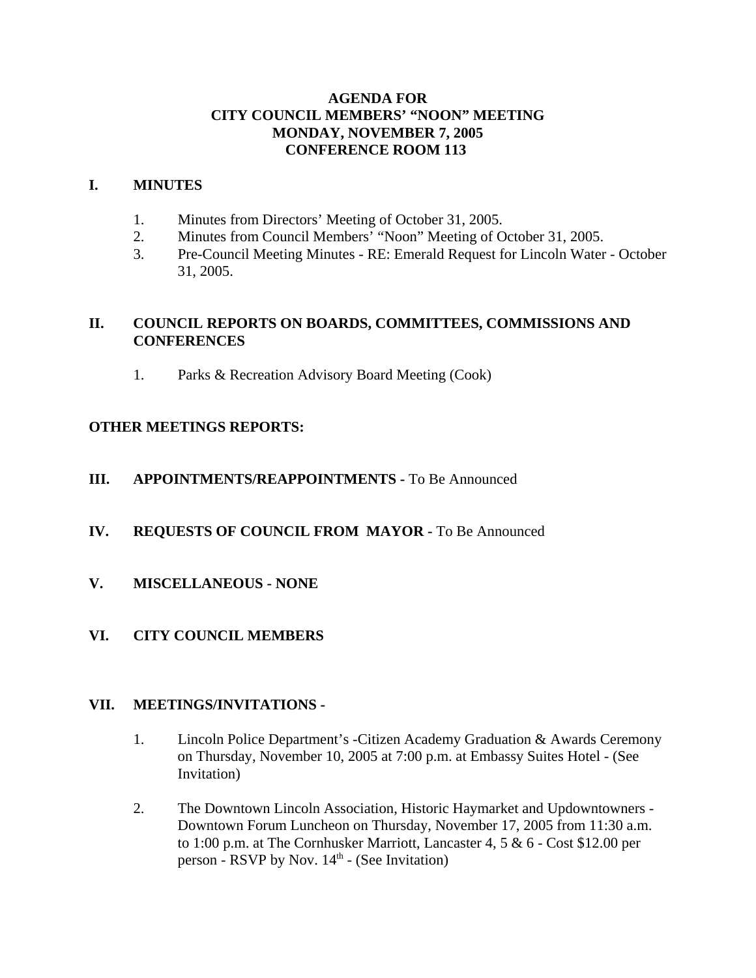# **AGENDA FOR CITY COUNCIL MEMBERS' "NOON" MEETING MONDAY, NOVEMBER 7, 2005 CONFERENCE ROOM 113**

## **I. MINUTES**

- 1. Minutes from Directors' Meeting of October 31, 2005.
- 2. Minutes from Council Members' "Noon" Meeting of October 31, 2005.
- 3. Pre-Council Meeting Minutes RE: Emerald Request for Lincoln Water October 31, 2005.

# **II. COUNCIL REPORTS ON BOARDS, COMMITTEES, COMMISSIONS AND CONFERENCES**

1. Parks & Recreation Advisory Board Meeting (Cook)

# **OTHER MEETINGS REPORTS:**

# **III.** APPOINTMENTS/REAPPOINTMENTS - To Be Announced

# **IV. REQUESTS OF COUNCIL FROM MAYOR -** To Be Announced

**V. MISCELLANEOUS - NONE** 

# **VI. CITY COUNCIL MEMBERS**

## **VII. MEETINGS/INVITATIONS -**

- 1. Lincoln Police Department's -Citizen Academy Graduation & Awards Ceremony on Thursday, November 10, 2005 at 7:00 p.m. at Embassy Suites Hotel - (See Invitation)
- 2. The Downtown Lincoln Association, Historic Haymarket and Updowntowners Downtown Forum Luncheon on Thursday, November 17, 2005 from 11:30 a.m. to 1:00 p.m. at The Cornhusker Marriott, Lancaster 4, 5 & 6 - Cost \$12.00 per person - RSVP by Nov.  $14<sup>th</sup>$  - (See Invitation)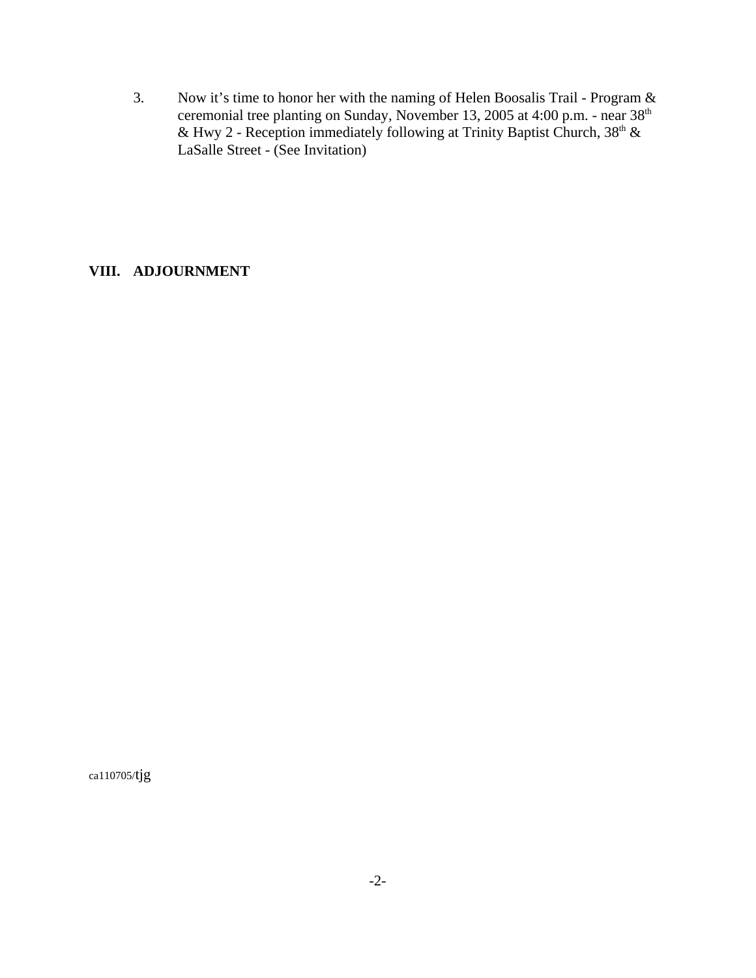3. Now it's time to honor her with the naming of Helen Boosalis Trail - Program & ceremonial tree planting on Sunday, November 13, 2005 at 4:00 p.m. - near 38th & Hwy 2 - Reception immediately following at Trinity Baptist Church,  $38<sup>th</sup>$  & LaSalle Street - (See Invitation)

## **VIII. ADJOURNMENT**

ca110705/tjg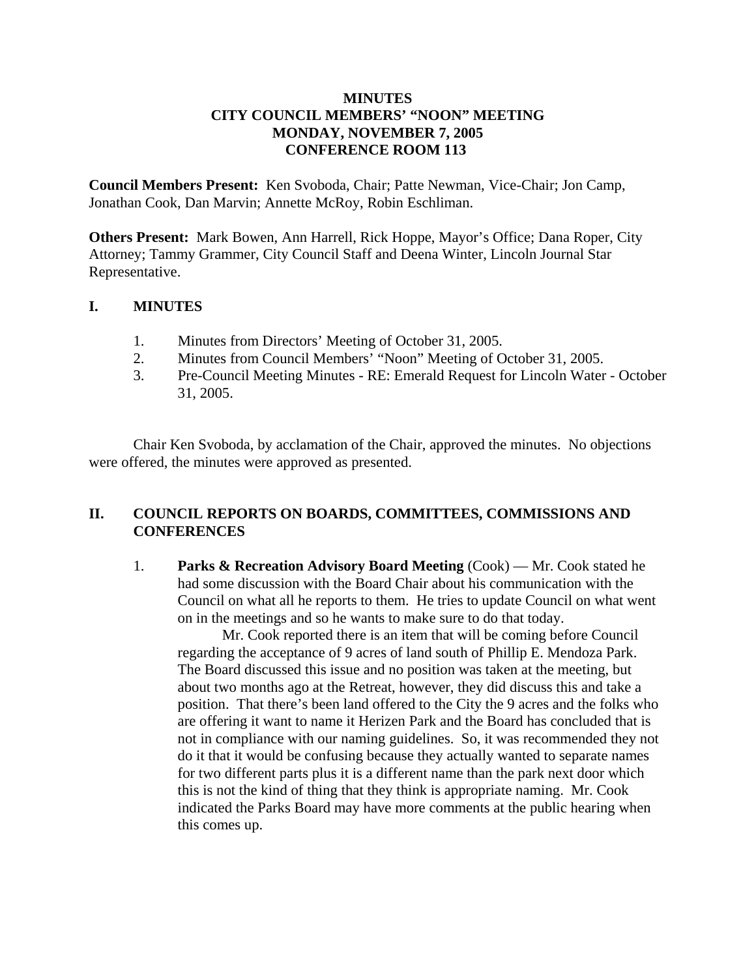## **MINUTES CITY COUNCIL MEMBERS' "NOON" MEETING MONDAY, NOVEMBER 7, 2005 CONFERENCE ROOM 113**

**Council Members Present:** Ken Svoboda, Chair; Patte Newman, Vice-Chair; Jon Camp, Jonathan Cook, Dan Marvin; Annette McRoy, Robin Eschliman.

**Others Present:** Mark Bowen, Ann Harrell, Rick Hoppe, Mayor's Office; Dana Roper, City Attorney; Tammy Grammer, City Council Staff and Deena Winter, Lincoln Journal Star Representative.

## **I. MINUTES**

- 1. Minutes from Directors' Meeting of October 31, 2005.
- 2. Minutes from Council Members' "Noon" Meeting of October 31, 2005.
- 3. Pre-Council Meeting Minutes RE: Emerald Request for Lincoln Water October 31, 2005.

Chair Ken Svoboda, by acclamation of the Chair, approved the minutes. No objections were offered, the minutes were approved as presented.

# **II. COUNCIL REPORTS ON BOARDS, COMMITTEES, COMMISSIONS AND CONFERENCES**

1. **Parks & Recreation Advisory Board Meeting** (Cook) — Mr. Cook stated he had some discussion with the Board Chair about his communication with the Council on what all he reports to them. He tries to update Council on what went on in the meetings and so he wants to make sure to do that today.

Mr. Cook reported there is an item that will be coming before Council regarding the acceptance of 9 acres of land south of Phillip E. Mendoza Park. The Board discussed this issue and no position was taken at the meeting, but about two months ago at the Retreat, however, they did discuss this and take a position. That there's been land offered to the City the 9 acres and the folks who are offering it want to name it Herizen Park and the Board has concluded that is not in compliance with our naming guidelines. So, it was recommended they not do it that it would be confusing because they actually wanted to separate names for two different parts plus it is a different name than the park next door which this is not the kind of thing that they think is appropriate naming. Mr. Cook indicated the Parks Board may have more comments at the public hearing when this comes up.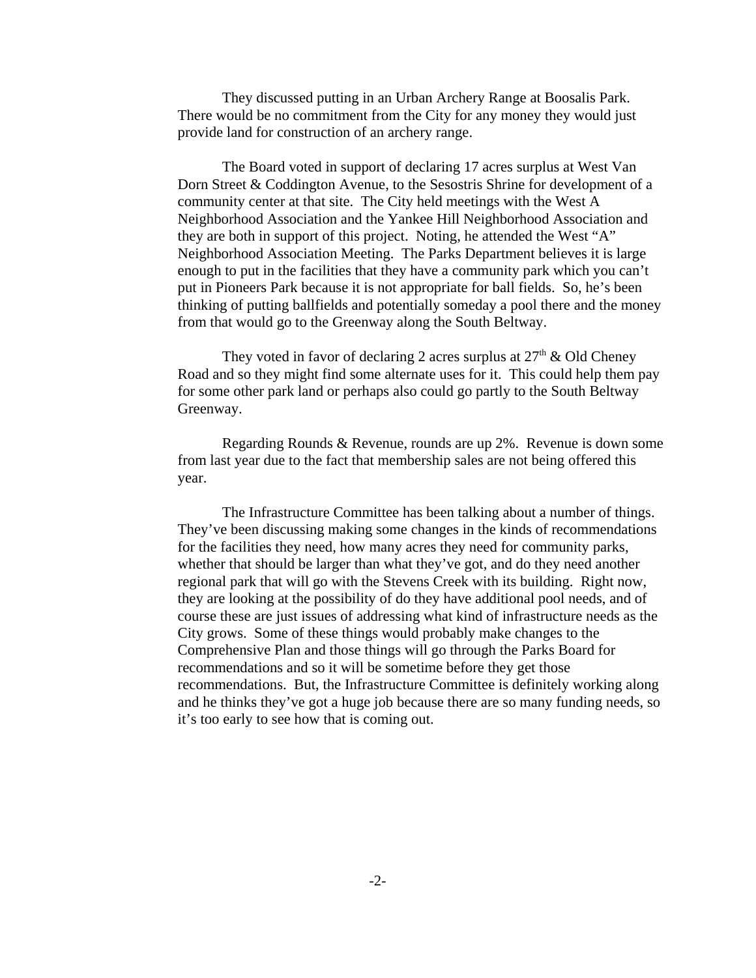They discussed putting in an Urban Archery Range at Boosalis Park. There would be no commitment from the City for any money they would just provide land for construction of an archery range.

The Board voted in support of declaring 17 acres surplus at West Van Dorn Street & Coddington Avenue, to the Sesostris Shrine for development of a community center at that site. The City held meetings with the West A Neighborhood Association and the Yankee Hill Neighborhood Association and they are both in support of this project. Noting, he attended the West "A" Neighborhood Association Meeting. The Parks Department believes it is large enough to put in the facilities that they have a community park which you can't put in Pioneers Park because it is not appropriate for ball fields. So, he's been thinking of putting ballfields and potentially someday a pool there and the money from that would go to the Greenway along the South Beltway.

They voted in favor of declaring 2 acres surplus at  $27<sup>th</sup>$  & Old Cheney Road and so they might find some alternate uses for it. This could help them pay for some other park land or perhaps also could go partly to the South Beltway Greenway.

Regarding Rounds & Revenue, rounds are up 2%. Revenue is down some from last year due to the fact that membership sales are not being offered this year.

The Infrastructure Committee has been talking about a number of things. They've been discussing making some changes in the kinds of recommendations for the facilities they need, how many acres they need for community parks, whether that should be larger than what they've got, and do they need another regional park that will go with the Stevens Creek with its building. Right now, they are looking at the possibility of do they have additional pool needs, and of course these are just issues of addressing what kind of infrastructure needs as the City grows. Some of these things would probably make changes to the Comprehensive Plan and those things will go through the Parks Board for recommendations and so it will be sometime before they get those recommendations. But, the Infrastructure Committee is definitely working along and he thinks they've got a huge job because there are so many funding needs, so it's too early to see how that is coming out.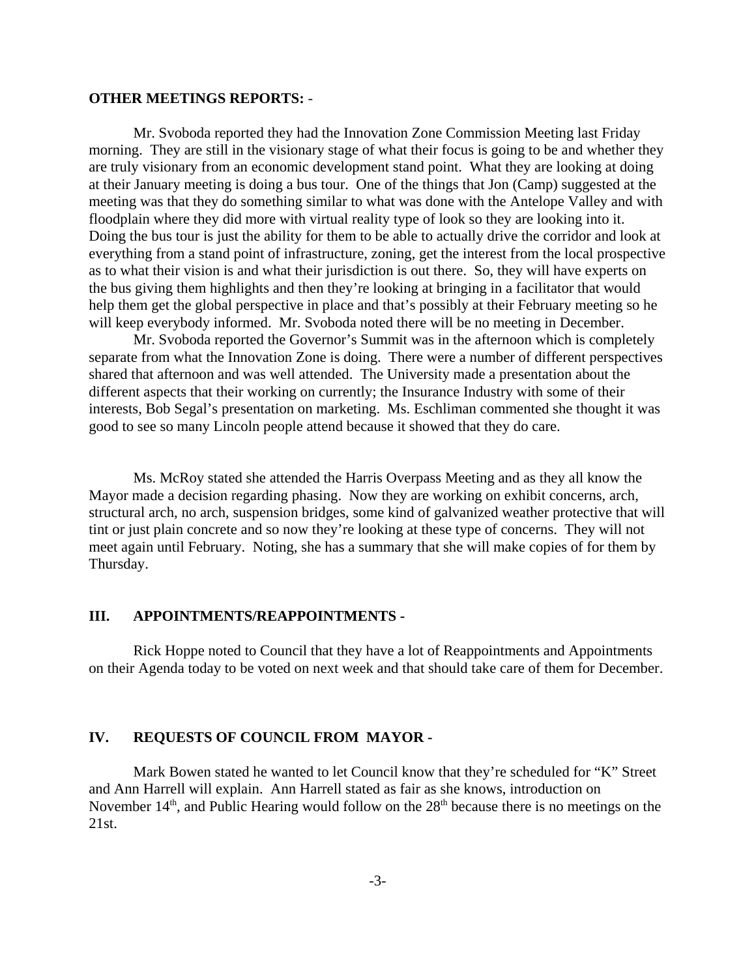#### **OTHER MEETINGS REPORTS:** -

Mr. Svoboda reported they had the Innovation Zone Commission Meeting last Friday morning. They are still in the visionary stage of what their focus is going to be and whether they are truly visionary from an economic development stand point. What they are looking at doing at their January meeting is doing a bus tour. One of the things that Jon (Camp) suggested at the meeting was that they do something similar to what was done with the Antelope Valley and with floodplain where they did more with virtual reality type of look so they are looking into it. Doing the bus tour is just the ability for them to be able to actually drive the corridor and look at everything from a stand point of infrastructure, zoning, get the interest from the local prospective as to what their vision is and what their jurisdiction is out there. So, they will have experts on the bus giving them highlights and then they're looking at bringing in a facilitator that would help them get the global perspective in place and that's possibly at their February meeting so he will keep everybody informed. Mr. Svoboda noted there will be no meeting in December.

Mr. Svoboda reported the Governor's Summit was in the afternoon which is completely separate from what the Innovation Zone is doing. There were a number of different perspectives shared that afternoon and was well attended. The University made a presentation about the different aspects that their working on currently; the Insurance Industry with some of their interests, Bob Segal's presentation on marketing. Ms. Eschliman commented she thought it was good to see so many Lincoln people attend because it showed that they do care.

Ms. McRoy stated she attended the Harris Overpass Meeting and as they all know the Mayor made a decision regarding phasing. Now they are working on exhibit concerns, arch, structural arch, no arch, suspension bridges, some kind of galvanized weather protective that will tint or just plain concrete and so now they're looking at these type of concerns. They will not meet again until February. Noting, she has a summary that she will make copies of for them by Thursday.

#### **III. APPOINTMENTS/REAPPOINTMENTS -**

Rick Hoppe noted to Council that they have a lot of Reappointments and Appointments on their Agenda today to be voted on next week and that should take care of them for December.

#### **IV. REQUESTS OF COUNCIL FROM MAYOR -**

Mark Bowen stated he wanted to let Council know that they're scheduled for "K" Street and Ann Harrell will explain. Ann Harrell stated as fair as she knows, introduction on November  $14<sup>th</sup>$ , and Public Hearing would follow on the  $28<sup>th</sup>$  because there is no meetings on the 21st.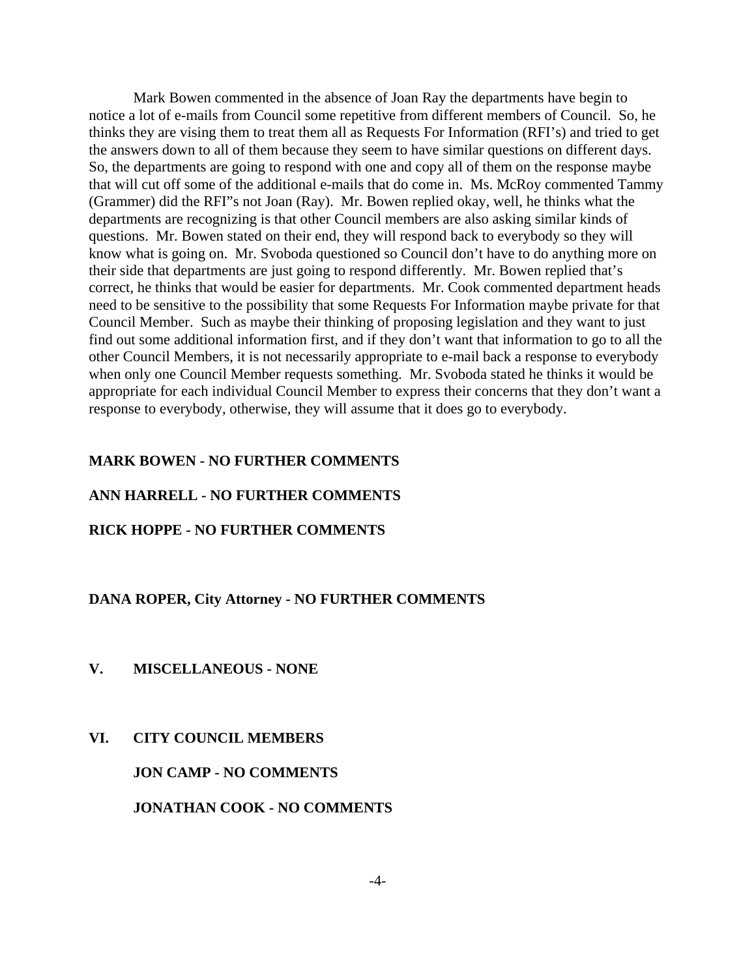Mark Bowen commented in the absence of Joan Ray the departments have begin to notice a lot of e-mails from Council some repetitive from different members of Council. So, he thinks they are vising them to treat them all as Requests For Information (RFI's) and tried to get the answers down to all of them because they seem to have similar questions on different days. So, the departments are going to respond with one and copy all of them on the response maybe that will cut off some of the additional e-mails that do come in. Ms. McRoy commented Tammy (Grammer) did the RFI"s not Joan (Ray). Mr. Bowen replied okay, well, he thinks what the departments are recognizing is that other Council members are also asking similar kinds of questions. Mr. Bowen stated on their end, they will respond back to everybody so they will know what is going on. Mr. Svoboda questioned so Council don't have to do anything more on their side that departments are just going to respond differently. Mr. Bowen replied that's correct, he thinks that would be easier for departments. Mr. Cook commented department heads need to be sensitive to the possibility that some Requests For Information maybe private for that Council Member. Such as maybe their thinking of proposing legislation and they want to just find out some additional information first, and if they don't want that information to go to all the other Council Members, it is not necessarily appropriate to e-mail back a response to everybody when only one Council Member requests something. Mr. Svoboda stated he thinks it would be appropriate for each individual Council Member to express their concerns that they don't want a response to everybody, otherwise, they will assume that it does go to everybody.

## **MARK BOWEN - NO FURTHER COMMENTS**

## **ANN HARRELL - NO FURTHER COMMENTS**

## **RICK HOPPE - NO FURTHER COMMENTS**

#### **DANA ROPER, City Attorney - NO FURTHER COMMENTS**

#### **V. MISCELLANEOUS - NONE**

#### **VI. CITY COUNCIL MEMBERS**

**JON CAMP - NO COMMENTS**

**JONATHAN COOK - NO COMMENTS**